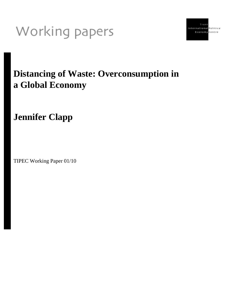



# **Distancing of Waste: Overconsumption in a Global Economy**

**Jennifer Clapp**

TIPEC Working Paper 01/10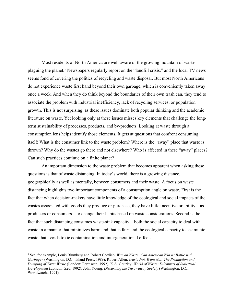Most residents of North America are well aware of the growing mountain of waste plaguing the planet.<sup>1</sup> Newspapers regularly report on the "landfill crisis," and the local TV news seems fond of covering the politics of recycling and waste disposal. But most North Americans do not experience waste first hand beyond their own garbage, which is conveniently taken away once a week. And when they do think beyond the boundaries of their own trash can, they tend to associate the problem with industrial inefficiency, lack of recycling services, or population growth. This is not surprising, as these issues dominate both popular thinking and the academic literature on waste. Yet looking only at these issues misses key elements that challenge the longterm sustainability of processes, products, and by-products. Looking at waste through a consumption lens helps identify those elements. It gets at questions that confront consuming itself: What is the consumer link to the waste problem? Where is the "away" place that waste is thrown? Why do the wastes go there and not elsewhere? Who is affected in these "away" places? Can such practices continue on a finite planet?

An important dimension to the waste problem that becomes apparent when asking these questions is that of waste distancing. In today's world, there is a growing distance, geographically as well as mentally, between consumers and their waste. A focus on waste distancing highlights two important components of a consumption angle on waste. First is the fact that when decision-makers have little knowledge of the ecological and social impacts of the wastes associated with goods they produce or purchase, they have little incentive or ability – as producers or consumers – to change their habits based on waste considerations. Second is the fact that such distancing consumes waste-sink capacity – both the social capacity to deal with waste in a manner that minimizes harm and that is fair; and the ecological capacity to assimilate waste that avoids toxic contamination and intergenerational effects.

<span id="page-1-0"></span><sup>&</sup>lt;sup>1</sup> See, for example, Louis Blumberg and Robert Gottlieb, *War on Waste: Can American Win its Battle with Garbage?* (Washington, D.C.: Island Press, 1989); Robert Allen, *Waste Not, Want Not: The Production and Dumping of Toxic Waste* (London: Earthscan, 1992); K.A. Gourlay, *World of Waste: Dilemmas of Industrial Development* (London: Zed, 1992); John Young*, Discarding the Throwaway Society* (Washington, D.C.: Worldwatch., 1991).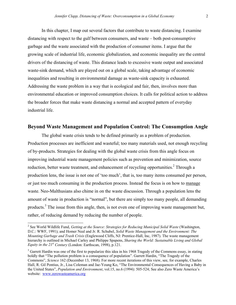In this chapter, I map out several factors that contribute to waste distancing. I examine distancing with respect to the gulf between consumers, and waste – both post-consumptive garbage and the waste associated with the production of consumer items. I argue that the growing scale of industrial life, economic globalization, and economic inequality are the central drivers of the distancing of waste. This distance leads to excessive waste output and associated waste-sink demand, which are played out on a global scale, taking advantage of economic inequalities and resulting in environmental damage as waste-sink capacity is exhausted. Addressing the waste problem in a way that is ecological and fair, then, involves more than environmental education or improved consumption choices. It calls for political action to address the broader forces that make waste distancing a normal and accepted pattern of everyday industrial life.

#### **Beyond Waste Management and Population Control: The Consumption Angle**

The global waste crisis tends to be defined primarily as a problem of production. Production processes are inefficient and wasteful; too many materials used, not enough recycling of by-products. Strategies for dealing with the global waste crisis from this angle focus on improving industrial waste management policies such as prevention and minimization, source reduction, better waste treatment, and enhancement of recycling opportunities.<sup>[2](#page-2-0)</sup> Through a production lens, the issue is not one of 'too much', that is, too many items consumed per person, or just too much consuming in the production process. Instead the focus is on how to manage waste. Neo-Malthusians also chime in on the waste discussion. Through a population lens the amount of waste in production is "normal", but there are simply too many people, all demanding products.<sup>3</sup> The issue from this angle, then, is not even one of improving waste management but, rather, of reducing demand by reducing the number of people.

<span id="page-2-0"></span> 2 See World Wildlife Fund, *Getting at the Source: Strategies for Reducing Municipal Solid Waste* (Washington, D.C.: WWF, 1991); and Homer Neal and Jr. R. Schubel, *Solid Waste Management and the Environment: The Mounting Garbage and Trash Crisis* (Englewood Cliffs, NJ: Prentice-Hall, Inc, 1987). The waste management hierarchy is outlined in Michael Carley and Philippe Spapens, *Sharing the World: Sustainable Living and Global Equity in the 21st Century* (London: Earthscan, 1998), p.121.

<span id="page-2-1"></span><sup>&</sup>lt;sup>3</sup> Garrett Hardin was one of the first to popularize this idea in his 1968 Tragedy of the Commons essay, in stating boldly that "The pollution problem is a consequence of population". Garrett Hardin, "The Tragedy of the Commons", *Science* 162 (December 13, 1968). For more recent iterations of this view, see, for example, Charles Hall, R. Gil Pontius, Jr., Lisa Coleman and Jae-Young Ko, "The Environmental Consequences of Having a Baby in the United States", *Population and Environment*, vol.15, no.6 (1994): 505-524; See also Zero Waste America's website: www.zerowasteamerica.org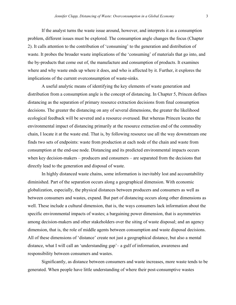If the analyst turns the waste issue around, however, and interprets it as a consumption problem, different issues must be explored. The consumption angle changes the focus (Chapter 2). It calls attention to the contribution of 'consuming' to the generation and distribution of waste. It probes the broader waste implications of the 'consuming' of materials that go into, and the by-products that come out of, the manufacture and consumption of products. It examines where and why waste ends up where it does, and who is affected by it. Further, it explores the implications of the current overconsumption of waste-sinks.

A useful analytic means of identifying the key elements of waste generation and distribution from a consumption angle is the concept of distancing. In Chapter 5, Princen defines distancing as the separation of primary resource extraction decisions from final consumption decisions. The greater the distancing on any of several dimensions, the greater the likelihood ecological feedback will be severed and a resource overused. But whereas Princen locates the environmental impact of distancing primarily at the resource extraction end of the commodity chain, I locate it at the waste end. That is, by following resource use all the way downstream one finds two sets of endpoints: waste from production at each node of the chain and waste from consumption at the end-use node. Distancing and its predicted environmental impacts occurs when key decision-makers – producers and consumers – are separated from the decisions that directly lead to the generation and disposal of waste.

In highly distanced waste chains, some information is inevitably lost and accountability diminished. Part of the separation occurs along a geographical dimension. With economic globalization, especially, the physical distances between producers and consumers as well as between consumers and wastes, expand. But part of distancing occurs along other dimensions as well. These include a cultural dimension, that is, the ways consumers lack information about the specific environmental impacts of wastes; a bargaining power dimension, that is asymmetries among decision-makers and other stakeholders over the siting of waste disposal; and an agency dimension, that is, the role of middle agents between consumption and waste disposal decisions. All of these dimensions of 'distance' create not just a geographical distance, but also a mental distance, what I will call an 'understanding gap'– a gulf of information, awareness and responsibility between consumers and wastes.

Significantly, as distance between consumers and waste increases, more waste tends to be generated. When people have little understanding of where their post-consumptive wastes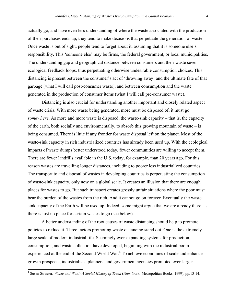actually go, and have even less understanding of where the waste associated with the production of their purchases ends up, they tend to make decisions that perpetuate the generation of waste. Once waste is out of sight, people tend to forget about it, assuming that it is someone else's responsibility. This 'someone else' may be firms, the federal government, or local municipalities. The understanding gap and geographical distance between consumers and their waste sever ecological feedback loops, thus perpetuating otherwise undesirable consumption choices. This distancing is present between the consumer's act of 'throwing away' and the ultimate fate of that garbage (what I will call post-consumer waste), and between consumption and the waste generated in the production of consumer items (what I will call pre-consumer waste).

Distancing is also crucial for understanding another important and closely related aspect of waste crisis. With more waste being generated, more must be disposed of; it must go *somewhere*. As more and more waste is disposed, the waste-sink capacity – that is, the capacity of the earth, both socially and environmentally, to absorb this growing mountain of waste – is being consumed. There is little if any frontier for waste disposal left on the planet. Most of the waste-sink capacity in rich industrialized countries has already been used up. With the ecological impacts of waste dumps better understood today, fewer communities are willing to accept them. There are fewer landfills available in the U.S. today, for example, than 20 years ago. For this reason wastes are travelling longer distances, including to poorer less industrialized countries. The transport to and disposal of wastes in developing countries is perpetuating the consumption of waste-sink capacity, only now on a global scale. It creates an illusion that there are enough places for wastes to go. But such transport creates grossly unfair situations where the poor must bear the burden of the wastes from the rich. And it cannot go on forever. Eventually the waste sink capacity of the Earth will be used up. Indeed, some might argue that we are already there, as there is just no place for certain wastes to go (see below).

A better understanding of the root causes of waste distancing should help to promote policies to reduce it. Three factors promoting waste distancing stand out. One is the extremely large scale of modern industrial life. Seemingly ever-expanding systems for production, consumption, and waste collection have developed, beginning with the industrial boom experienced at the end of the Second World War.<sup>[4](#page-4-0)</sup> To achieve economies of scale and enhance growth prospects, industrialists, planners, and government agencies promoted ever-larger

<span id="page-4-0"></span> 4 Susan Strasser, *Waste and Want: A Social History of Trash* (New York: Metropolitan Books, 1999), pp.13-14.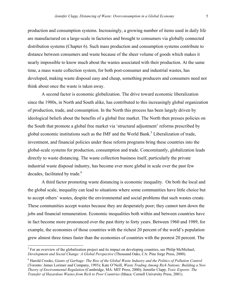production and consumption systems. Increasingly, a growing number of items used in daily life are manufactured on a large-scale in factories and brought to consumers via globally connected distribution systems (Chapter 6). Such mass production and consumption systems contribute to distance between consumers and waste because of the sheer volume of goods which makes it nearly impossible to know much about the wastes associated with their production. At the same time, a mass waste collection system, for both post-consumer and industrial wastes, has developed, making waste disposal easy and cheap, something producers and consumers need not think about once the waste is taken away.

A second factor is economic globalization. The drive toward economic liberalization since the 1980s, in North and South alike, has contributed to this increasingly global organization of production, trade, and consumption. In the North this process has been largely driven by ideological beliefs about the benefits of a global free market. The North then presses policies on the South that promote a global free market via 'structural adjustment' reforms prescribed by global economic institutions such as the IMF and the World Bank.<sup>[5](#page-5-0)</sup> Liberalization of trade, investment, and financial policies under these reform programs bring these countries into the global-scale systems for production, consumption and trade. Concomitantly, globalization leads directly to waste distancing. The waste collection business itself, particularly the private industrial waste disposal industry, has become ever more global in scale over the past few decades, facilitated by trade.<sup>6</sup>

A third factor promoting waste distancing is economic inequality. On both the local and the global scale, inequality can lead to situations where some communities have little choice but to accept others' wastes, despite the environmental and social problems that such wastes create. These communities accept wastes because they are desperately poor; they cannot turn down the jobs and financial remuneration. Economic inequalities both within and between countries have in fact become more pronounced over the past thirty to forty years. Between 1960 and 1989, for example, the economies of those countries with the richest 20 percent of the world's population grew almost three times faster than the economies of countries with the poorest 20 percent. The

 $\overline{a}$ 

<span id="page-5-0"></span><sup>&</sup>lt;sup>5</sup> For an overview of the globalization project and its impact on developing countries, see Philip McMichael, *Development and Social Change: A Global Perspective* (Thousand Oaks, CA: Pine forge Press, 2000).

<span id="page-5-1"></span><sup>6</sup> Harold Crooks, *Giants of Garbage: The Rise of the Global Waste Industry and the Politics of Pollution Control* (Toronto: James Lorimer and Company, 1993); Kate O'Neill, *Waste Trading Among Rich Nations: Building a New Theory of Environmental Regulation* (Cambridge, MA: MIT Press, 2000); Jennifer Clapp, *Toxic Exports: The Transfer of Hazardous Wastes from Rich to Poor Countries* (Ithaca: Cornell University Press, 2001).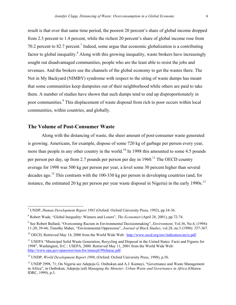result is that over that same time period, the poorest 20 percent's share of global income dropped from 2.3 percent to 1.4 percent, while the richest 20 percent's share of global income rose from 70.2 percent to 82[.7](#page-6-0) percent.<sup>7</sup> Indeed, some argue that economic globalization is a contributing factor to global inequality.<sup>8</sup> Along with this growing inequality, waste brokers have increasingly sought out disadvantaged communities, people who are the least able to resist the jobs and revenues. And the brokers use the channels of the global economy to get the wastes there. The Not in My Backyard (NIMBY) syndrome with respect to the siting of waste dumps has meant that some communities keep dumpsites out of their neighborhood while others are paid to take them. A number of studies have shown that such dumps tend to end up disproportionately in poor communities.<sup>[9](#page-6-2)</sup> This displacement of waste disposal from rich to poor occurs within local communities, within countries, and globally.

#### **The Volume of Post-Consumer Waste**

Along with the distancing of waste, the sheer amount of post-consumer waste generated is growing. Americans, for example, dispose of some 720 kg of garbage per person every year, more than people in any other country in the world.<sup>10</sup> In 1998 this amounted to some 4.5 pounds per person per day, up from 2.7 pounds per person per day in  $1960$ .<sup>11</sup> The OECD country average for 1998 was 500 kg per person per year, a level some 30 percent higher than several decades ago.<sup>12</sup> This contrasts with the 100-330 kg per person in developing countries (and, for instance, the estimated 20 kg per person per year waste disposal in Nigeria) in the early 1990s.<sup>[13](#page-6-6)</sup>

<span id="page-6-0"></span> 7 UNDP, *Human Development Report 1992* (Oxford: Oxford University Press, 1992), pp.34-36.

<span id="page-6-1"></span><sup>8</sup> Robert Wade, "Global Inequality: Winners and Losers", *The Economist* (April 28, 2001), pp.72-74.

<span id="page-6-2"></span><sup>9</sup> See Robert Bullard, "Overcoming Racism in Environmental Decisionmaking", *Environment*, Vol.36, No.4, (1994): 11-20; 39-44; Timothy Maher, "Environmental Oppression", *Journal of Black Studies*, vol.28, no.3 (1998): 357-367.

<span id="page-6-3"></span><sup>&</sup>lt;sup>10</sup> OECD, Retrieved May 14, 2000 from the World Wide Web: http://www.oecd.org/env/indicators/an1e.pdf.

<span id="page-6-4"></span><sup>&</sup>lt;sup>11</sup> USEPA "Municipal Solid Waste Generation, Recycling and Disposal in the United States: Facts and Figures for 1998", Washington, D.C.: USEPA, 2000. Retrieved May 11, 2001 from the World Wide Web: http://www.epa.gov/epaoswer/non-hw/muncpl/99charac.pdf.

<span id="page-6-5"></span><sup>12</sup> UNDP, *World Development Report 1998*, (Oxford: Oxford University Press, 1998), p.56.

<span id="page-6-6"></span><sup>&</sup>lt;sup>13</sup> UNDP 2998, 71; On Nigeria see Adepoju G. Onibokun and A.J. Kumuyi, "Governance and Waste Management in Africa", in Onibokun, Adepoju (ed) *Managing the Monster: Urban Waste and Governance in Africa* (Ottawa: IDRC, 1999), p.3.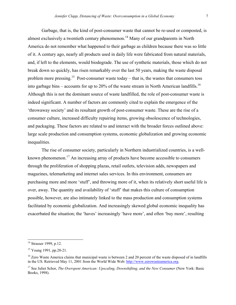Garbage, that is, the kind of post-consumer waste that cannot be re-used or composted, is almost exclusively a twentieth century phenomenon.<sup>14</sup> Many of our grandparents in North America do not remember what happened to their garbage as children because there was so little of it. A century ago, nearly all products used in daily life were fabricated from natural materials, and, if left to the elements, would biodegrade. The use of synthetic materials, those which do not break down so quickly, has risen remarkably over the last 50 years, making the waste disposal problem more pressing.<sup>15</sup> Post-consumer waste today – that is, the wastes that consumers toss into garbage bins – accounts for up to 20% of the waste stream in North American landfills.<sup>[16](#page-7-2)</sup> Although this is not the dominant source of waste landfilled, the role of post-consumer waste is indeed significant. A number of factors are commonly cited to explain the emergence of the 'throwaway society' and its resultant growth of post-consumer waste. These are the rise of a consumer culture, increased difficulty repairing items, growing obsolescence of technologies, and packaging. These factors are related to and interact with the broader forces outlined above: large scale production and consumption systems, economic globalization and growing economic inequalities.

The rise of consumer society, particularly in Northern industrialized countries, is a wellknown phenomenon.<sup>17</sup> An increasing array of products have become accessible to consumers through the proliferation of shopping plazas, retail outlets, television adds, newspapers and magazines, telemarketing and internet sales services. In this environment, consumers are purchasing more and more 'stuff', and throwing more of it, when its relatively short useful life is over, away. The quantity and availability of 'stuff' that makes this culture of consumption possible, however, are also intimately linked to the mass production and consumption systems facilitated by economic globalization. And increasingly skewed global economic inequality has exacerbated the situation; the 'haves' increasingly 'have more', and often 'buy more', resulting

<span id="page-7-0"></span><sup>&</sup>lt;sup>14</sup> Strasser 1999, p.12.

<span id="page-7-1"></span><sup>15</sup> Young 1991, pp.20-21.

<span id="page-7-2"></span><sup>&</sup>lt;sup>16</sup> Zero Waste America claims that municipal waste is between 2 and 20 percent of the waste disposed of in landfills in the US. Retrieved May 11, 2001 from the World Wide Web: http://www.zerowasteamerica.org.

<span id="page-7-3"></span><sup>&</sup>lt;sup>17</sup> See Juliet Schor, *The Overspent American: Upscaling, Downshifting, and the New Consumer* (New York: Basic Books, 1998).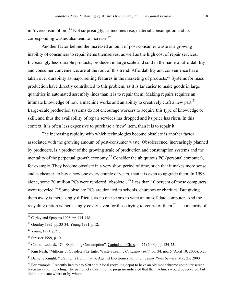in 'overconsumption'.[18](#page-8-0) Not surprisingly, as incomes rise, material consumption and its corresponding wastes also tend to increase.<sup>19</sup>

Another factor behind the increased amount of post-consumer waste is a growing inability of consumers to repair items themselves, as well as the high cost of repair services. Increasingly less-durable products, produced in large scale and sold in the name of affordability and consumer convenience, are at the root of this trend. Affordability and convenience have taken over durability as major selling features in the marketing of products.<sup>20</sup> Systems for mass production have directly contributed to this problem, as it is far easier to make goods in large quantities in automated assembly lines than it is to repair them. Making repairs requires an intimate knowledge of how a machine works and an ability to creatively craft a new part.<sup>[21](#page-8-3)</sup> Large-scale production systems do not encourage workers to acquire this type of knowledge or skill, and thus the availability of repair services has dropped and its price has risen. In this context, it is often less expensive to purchase a 'new' item, than it is to repair it.

The increasing rapidity with which technologies become obsolete is another factor associated with the growing amount of post-consumer waste. Obsolescence, increasingly planned by producers, is a product of the growing scale of production and consumption systems and the mentality of the perpetual growth economy.<sup>22</sup> Consider the ubiquitous PC (personal computer), for example. They become obsolete in a very short period of time, such that it makes more sense, and is cheaper, to buy a new one every couple of years, than it is even to upgrade them. In 1998 alone, some 20 million PCs were rendered 'obsolete'. [23](#page-8-5) Less than 10 percent of those computers were recycled.<sup>24</sup> Some obsolete PCs are donated to schools, churches or charities. But giving them away is increasingly difficult, as no one seems to want an out-of-date computer. And the recycling option is increasingly costly, even for those trying to get rid of them.<sup>25</sup> The majority of

<span id="page-8-0"></span> $18$  Carley and Spapens 1998, pp.134-138.

<span id="page-8-1"></span><sup>19</sup> Gourlay 1992, pp.33-34; Young 1991, p.12.

<span id="page-8-2"></span><sup>&</sup>lt;sup>20</sup> Young 1991, p.21.

<span id="page-8-3"></span> $21$  Strasser 1999, p.10.

<span id="page-8-4"></span><sup>&</sup>lt;sup>22</sup> Conrad Lodziak, "On Explaining Consumption", Capital and Class, no.72 (2000), pp.124-25.

<span id="page-8-5"></span><sup>&</sup>lt;sup>23</sup> Kim Nash, "Millions of Obsolete PCs Enter Waste Stream", *Computerworld*, vol.34, no.15 (April 10, 2000), p.20.

<span id="page-8-6"></span><sup>24</sup> Danielle Knight, " US Fights EU Initiative Against Electronics Pollution", *Inter Press Service*, May 25, 2000.

<span id="page-8-7"></span> $^{25}$  For example, I recently had to pay \$20 at our local recycling depot to have an old monochrome computer screen taken away for recycling. The pamphlet explaining the program indicated that the machines would be recycled, but did not indicate where or by whom.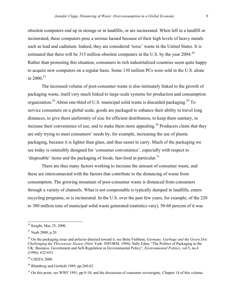obsolete computers end up in storage or in landfills, or are incinerated. When left in a landfill or incinerated, these computers pose a serious hazard because of their high levels of heavy metals such as lead and cadmium. Indeed, they are considered 'toxic' waste in the United States. It is estimated that there will be 315 million obsolete computers in the U.S. by the year 2004.<sup>26</sup> Rather than protesting this situation, consumers in rich industrialized countries seem quite happy to acquire new computers on a regular basis. Some 130 million PCs were sold in the U.S. alone in 2000.<sup>[27](#page-9-1)</sup>

The increased volume of post-consumer waste is also intimately linked to the growth of packaging waste, itself very much linked to large-scale systems for production and consumption organization[.28](#page-9-2) About one-third of U.S. municipal solid waste is discarded packaging[.29](#page-9-3) To service consumers on a global scale, goods are packaged to enhance their ability to travel long distances, to give them uniformity of size for efficient distribution, to keep them sanitary, to increase their convenience of use, and to make them more appealing.<sup>30</sup> Producers claim that they are only trying to meet consumers' needs by, for example, increasing the use of plastic packaging, because it is lighter than glass, and thus easier to carry. Much of the packaging we see today is ostensibly designed for 'consumer convenience', especially with respect to 'disposable' items and the packaging of foods, fast-food in particular.<sup>31</sup>

There are thus many factors working to increase the amount of consumer waste, and these are interconnected with the factors that contribute to the distancing of waste from consumption. The growing mountain of post-consumer waste is distanced from consumers through a variety of channels. What is not compostable is typically dumped in landfills, enters recycling programs, or is incinerated. In the U.S. over the past few years, for example, of the 220 to 380 million tons of municipal solid waste generated (statistics vary), 50-60 percent of it was

<span id="page-9-0"></span><sup>&</sup>lt;sup>26</sup> Knight, May 25, 2000.

<span id="page-9-1"></span> $27$  Nash 2000, p.20

<span id="page-9-2"></span><sup>28</sup> On the packaging issue and policies directed toward it, see Bette Fishbein, *Germany, Garbage and the Green Dot: Challenging the Throwaway Society* (New York: INFORM, 1994); Sally Eden, "The Politics of Packaging in the UK: Business, Government and Self-Regulation in Environmental Policy", *Environmental Politics*, vol.5, no.4 (1996): 632-653.

<span id="page-9-3"></span><sup>29</sup> USEPA 2000.

<span id="page-9-4"></span><sup>&</sup>lt;sup>30</sup> Blumberg and Gottleib 1989, pp.260-62.

<span id="page-9-5"></span><sup>&</sup>lt;sup>31</sup> On this point, see WWF 1991, pp.9-10; and the discussion of consumer sovereignty, Chapter 14 of this volume.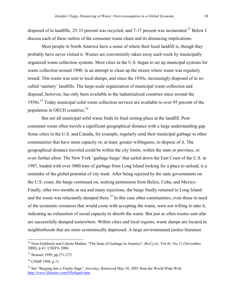disposed of in landfills, 25-33 percent was recycled, and 7-17 percent was incinerated.<sup>32</sup> Below I discuss each of these outlets of the consumer waste chain and its distancing implications.

Most people in North America have a sense of where their local landfill is, though they probably have never visited it. Wastes are conveniently taken away each week by municipally organized waste collection systems. Most cities in the U.S. began to set up municipal systems for waste collection around 1900, in an attempt to clean up the streets where waste was regularly tossed. This waste was sent to local dumps, and since the 1930s, increasingly disposed of in socalled 'sanitary' landfills. The large-scale organization of municipal waste collection and disposal, however, has only been available in the industrialized countries since around the 1950s.[33](#page-10-1) Today municipal solid waste collection services are available to over 95 percent of the population in OECD countries.[34](#page-10-2)

But not all municipal solid waste finds its final resting-place at the landfill. Postconsumer waste often travels a significant geographical distance with a large understanding gap. Some cities in the U.S. and Canada, for example, regularly send their municipal garbage to other communities that have more capacity or, at least, greater willingness, to dispose of it. The geographical distance traveled could be within the city limits, within the state or province, or even further afoot. The New York 'garbage barge' that sailed down the East Coast of the U.S. in 1987, loaded with over 3000 tons of garbage from Long Island looking for a place to unload, is a reminder of the global potential of city trash. After being rejected by the state governments on the U.S. coast, the barge continued on, seeking permission from Belize, Cuba, and Mexico. Finally, after two months at sea and many rejections, the barge finally returned to Long Island and the waste was reluctantly dumped there.<sup>35</sup> In this case other communities, even those in need of the economic resources that would come with accepting the waste, were not willing to take it, indicating an exhaustion of social capacity to absorb the waste. But just as often wastes sent afar are successfully dumped somewhere. Within cities and local regions, waste dumps are located in neighborhoods that are more economically depressed. A large environmental justice literature

<span id="page-10-0"></span><sup>32</sup> Nora Goldstein and Celeste Madtes, "The State of Garbage in America", *BioCycle*, Vol.41, No.11 (November 2000), p.41; USEPA 2000.

<span id="page-10-1"></span><sup>33</sup> Strasser 1999, pp.271-272.

<span id="page-10-2"></span><sup>34</sup> UNDP 1998, p.71.

<span id="page-10-3"></span><sup>35</sup> See "Barging into a Trashy Saga", *Newsday*, Retrieved May 10, 2001 from the World Wide Web: http://www.lihistory.com/9/hs9garb.htm.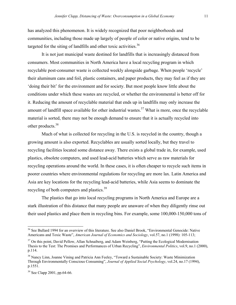has analyzed this phenomenon. It is widely recognized that poor neighborhoods and communities, including those made up largely of people of color or native origins, tend to be targeted for the siting of landfills and other toxic activities.<sup>36</sup>

It is not just municipal waste destined for landfills that is increasingly distanced from consumers. Most communities in North America have a local recycling program in which recyclable post-consumer waste is collected weekly alongside garbage. When people 'recycle' their aluminum cans and foil, plastic containers, and paper products, they may feel as if they are 'doing their bit' for the environment and for society. But most people know little about the conditions under which these wastes are recycled, or whether the environmental is better off for it. Reducing the amount of recyclable material that ends up in landfills may only increase the amount of landfill space available for other industrial wastes.<sup>37</sup> What is more, once the recyclable material is sorted, there may not be enough demand to ensure that it is actually recycled into other products.<sup>38</sup>

Much of what is collected for recycling in the U.S. is recycled in the country, though a growing amount is also exported. Recyclables are usually sorted locally, but they travel to recycling facilities located some distance away. There exists a global trade in, for example, used plastics, obsolete computers, and used lead-acid batteries which serve as raw materials for recycling operations around the world. In these cases, it is often cheaper to recycle such items in poorer countries where environmental regulations for recycling are more lax. Latin America and Asia are key locations for the recycling lead-acid batteries, while Asia seems to dominate the recycling of both computers and plastics[.39](#page-11-3)

The plastics that go into local recycling programs in North America and Europe are a stark illustration of this distance that many people are unaware of when they diligently rinse out their used plastics and place them in recycling bins. For example, some 100,000-150,000 tons of

<span id="page-11-0"></span><sup>&</sup>lt;sup>36</sup> See Bullard 1994 for an overview of this literature. See also Daniel Brook, "Environmental Genocide: Native Americans and Toxic Waste", *American Journal of Economics and Sociology*, vol.57, no.1 (1998): 105-113;

<span id="page-11-1"></span><sup>&</sup>lt;sup>37</sup> On this point, David Pellow, Allan Schnaiberg, and Adam Weinberg, "Putting the Ecological Modernisation Thesis to the Test: The Promises and Performances of Urban Recycling", *Environmental Politics*, vol.9, no.1 (2000), p.114.

<span id="page-11-2"></span><sup>&</sup>lt;sup>38</sup> Nancy Linn, Joanne Vining and Patricia Ann Feeley, "Toward a Sustainable Society: Waste Minimization Through Environmentally Conscious Consuming", *Journal of Applied Social Psychology*, vol.24, no.17 (1994), p.1551.

<span id="page-11-3"></span> $39$  See Clapp 2001, pp.64-66.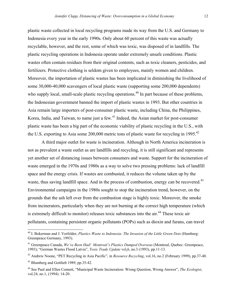plastic waste collected in local recycling programs made its way from the U.S. and Germany to Indonesia every year in the early 1990s. Only about 60 percent of this waste was actually recyclable, however, and the rest, some of which was toxic, was disposed of in landfills. The plastic recycling operations in Indonesia operate under extremely unsafe conditions. Plastic wastes often contain residues from their original contents, such as toxic cleaners, pesticides, and fertilizers. Protective clothing is seldom given to employees, mainly women and children. Moreover, the importation of plastic wastes has been implicated in diminishing the livelihood of some 30,000-40,000 scavengers of local plastic waste (supporting some 200,000 dependents) who supply local, small-scale plastic recycling operations.<sup>40</sup> In part because of these problems, the Indonesian government banned the import of plastic wastes in 1993. But other countries in Asia remain large importers of post-consumer plastic waste, including China, the Philippines, Korea, India, and Taiwan, to name just a few.[41](#page-12-1) Indeed, the Asian market for post-consumer plastic waste has been a big part of the economic viability of plastic recycling in the U.S., with the U.S. exporting to Asia some  $200,000$  metric tons of plastic waste for recycling in 1995.<sup>42</sup>

A third major outlet for waste is incineration. Although in North America incineration is not as prevalent a waste outlet as are landfills and recycling, it is still significant and represents yet another set of distancing issues between consumers and waste. Support for the incineration of waste emerged in the 1970s and 1980s as a way to solve two pressing problems: lack of landfill space and the energy crisis. If wastes are combusted, it reduces the volume taken up by the waste, thus saving landfill space. And in the process of combustion, energy can be recovered.<sup>[43](#page-12-3)</sup> Environmental campaigns in the 1980s sought to stop the incineration trend, however, on the grounds that the ash left over from the combustion stage is highly toxic. Moreover, the smoke from incinerators, particularly when they are not burning at the correct high temperature (which is extremely difficult to monitor) releases toxic substances into the air.<sup>44</sup> These toxic air pollutants, containing persistent organic pollutants (POPs) such as dioxin and furans, can travel

<span id="page-12-0"></span><sup>40</sup> I. Bokerman and J. Vorfelder, *Plastics Waste to Indonesia: The Invasion of the Little Green Dots* (Hamburg: Greenpeace Germany, 1993).

<span id="page-12-1"></span><sup>41</sup> Greenpeace Canada, *We've Been Had! Montreal's Plastics Dumped Overseas* (Montreal, Quebec: Greenpeace, 1993); "German Wastes Flood Latvia", *Toxic Trade Update* vol.6, no.3 (1993), pp.11-13.

<span id="page-12-2"></span><sup>42</sup> Andrew Noone, "PET Recycling in Asia Pacific", in *Resource Recycling*, vol.16, no.2 (February 1999), pp.37-40.

<span id="page-12-3"></span><sup>43</sup> Blumberg and Gottlieb 1989, pp.35-42.

<span id="page-12-4"></span><sup>44</sup> See Paul and Ellen Connett, "Municipal Waste Incineration: Wrong Question, Wrong Answer", *The Ecologist*, vol.24, no.1, (1994): 14-20.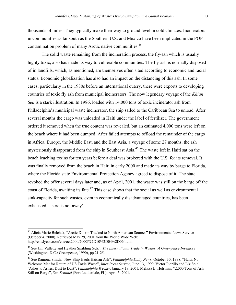thousands of miles. They typically make their way to ground level in cold climates. Incinerators in communities as far south as the Southern U.S. and Mexico have been implicated in the POP contamination problem of many Arctic native communities.<sup>45</sup>

The solid waste remaining from the incineration process, the fly-ash which is usually highly toxic, also has made its way to vulnerable communities. The fly-ash is normally disposed of in landfills, which, as mentioned, are themselves often sited according to economic and racial status. Economic globalization has also had an impact on the distancing of this ash. In some cases, particularly in the 1980s before an international outcry, there were exports to developing countries of toxic fly ash from municipal incinerators. The now legendary voyage of the *Khian Sea* is a stark illustration. In 1986, loaded with 14,000 tons of toxic incinerator ash from Philadelphia's municipal waste incinerator, the ship sailed to the Caribbean Sea to unload. After several months the cargo was unloaded in Haiti under the label of fertilizer. The government ordered it removed when the true content was revealed, but an estimated 4,000 tons were left on the beach where it had been dumped. After failed attempts to offload the remainder of the cargo in Africa, Europe, the Middle East, and the East Asia, a voyage of some 27 months, the ash mysteriously disappeared from the ship in Southeast Asia[.46](#page-13-1) The waste left in Haiti sat on the beach leaching toxins for ten years before a deal was brokered with the U.S. for its removal. It was finally removed from the beach in Haiti in early 2000 and made its way by barge to Florida, where the Florida state Environmental Protection Agency agreed to dispose of it. The state revoked the offer several days later and, as of April, 2001, the waste was still on the barge off the coast of Florida, awaiting its fate.<sup>47</sup> This case shows that the social as well as environmental sink-capacity for such wastes, even in economically disadvantaged countries, has been exhausted. There is no 'away'.

<span id="page-13-0"></span><sup>&</sup>lt;sup>45</sup> Alicia Marie Belchak, "Arctic Dioxin Tracked to North American Sources" Environmental News Service (October 4, 2000), Retrieved May 29, 2001 from the World Wide Web: http://ens.lycos.com/ens/oct2000/2000l%2D10%2D04%2D06.html.

<span id="page-13-1"></span><sup>46</sup> See Jim Vallette and Heather Spalding (eds.), *The International Trade in Wastes: A Greenpeace Inventory* (Washington, D.C.: Greenpeace, 1990), pp.21-25.

<span id="page-13-2"></span><sup>47</sup> See Ramona Smith, "New Ship Hauls Haitian Ash", *Philadelphia Daily News*, October 30, 1998; "Haiti: No Welcome Mat for Return of US Toxic Waste", *Inter Press Service*, June 13, 1999. Victor Fiorillo and Liz Spiol, 'Ashes to Ashes, Dust to Dust", *Philadelphia Weekly*, January 18, 2001. Melissa E. Holsman, "2,000 Tons of Ash Still on Barge", *Sun Sentinel* (Fort Lauderdale, FL), April 5, 2001.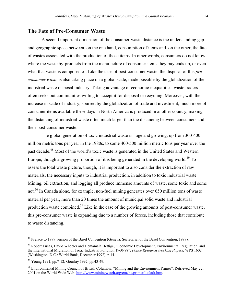## **The Fate of Pre-Consumer Waste**

A second important dimension of the consumer-waste distance is the understanding gap and geographic space between, on the one hand, consumption of items and, on the other, the fate of wastes associated with the production of those items. In other words, consumers do not know where the waste by-products from the manufacture of consumer items they buy ends up, or even what that waste is composed of. Like the case of post-consumer waste, the disposal of this *preconsumer waste* is also taking place on a global scale, made possible by the globalization of the industrial waste disposal industry. Taking advantage of economic inequalities, waste traders often seeks out communities willing to accept it for disposal or recycling. Moreover, with the increase in scale of industry, spurred by the globalization of trade and investment, much more of consumer items available these days in North America is produced in another country, making the distancing of industrial waste often much larger than the distancing between consumers and their post-consumer waste.

The global generation of toxic industrial waste is huge and growing, up from 300-400 million metric tons per year in the 1980s, to some 400-500 million metric tons per year over the past decade.<sup>48</sup> Most of the world's toxic waste is generated in the United States and Western Europe, though a growing proportion of it is being generated in the developing world.<sup>49</sup> To assess the total waste picture, though, it is important to also consider the extraction of raw materials, the necessary inputs to industrial production, in addition to toxic industrial waste. Mining, oil extraction, and logging all produce immense amounts of waste, some toxic and some not.<sup>50</sup> In Canada alone, for example, non-fuel mining generates over 6[50](#page-14-2) million tons of waste material per year, more than 20 times the amount of municipal solid waste and industrial production waste combined.<sup>51</sup> Like in the case of the growing amounts of post-consumer waste, this pre-consumer waste is expanding due to a number of forces, including those that contribute to waste distancing.

<span id="page-14-0"></span><sup>&</sup>lt;sup>48</sup> Preface to 1999 version of the Basel Convention (Geneva: Secretariat of the Basel Convention, 1999).

<span id="page-14-1"></span><sup>49</sup> Robert Lucas, David Wheeler and Hemamala Hettige, "Economic Development, Environmental Regulation, and the International Migration of Toxic Industrial Pollution 1960-88", *Policy Research Working Papers*, WPS 1602 (Washington, D.C.: World Bank, December 1992), p.14.

<span id="page-14-2"></span><sup>50</sup> Young 1991, pp.7-12; Gourlay 1992, pp.43-49.

<span id="page-14-3"></span><sup>&</sup>lt;sup>51</sup> Environmental Mining Council of British Columbia, "Mining and the Environment Primer". Retrieved May 22, 2001 on the World Wide Web: http://www.miningwatch.org/emcbc/primer/default.htm.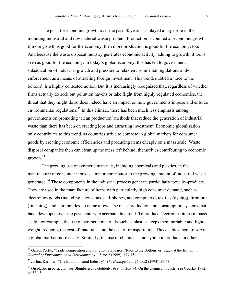The push for economic growth over the past 50 years has played a large role in the mounting industrial and raw material waste problem. Production is counted as economic growth: if more growth is good for the economy, then more production is good for the economy, too. And because the waste disposal industry generates economic activity, adding to growth, it too is seen as good for the economy. In today's global economy, this has led to government subsidization of industrial growth and pressure to relax environmental regulations and/or enforcement as a means of attracting foreign investment. This trend, dubbed a 'race to the bottom', is a highly contested notion. But it is increasingly recognized that, regardless of whether firms actually do seek out pollution havens or take flight from highly regulated economies, the threat that they might do so does indeed have an impact on how governments impose and enforce environmental regulations.<sup>52</sup> In this climate, there has been much less emphasis among governments on promoting 'clean production' methods that reduce the generation of industrial waste than there has been on creating jobs and attracting investment. Economic globalization only contributes to this trend, as countries strive to compete in global markets for consumer goods by creating economic efficiencies and producing items cheaply on a mass scale. Waste disposal companies then can clean up the mess left behind, themselves contributing to economic growth.[53](#page-15-1)

The growing use of synthetic materials, including chemicals and plastics, in the manufacture of consumer items is a major contributor to the growing amount of industrial waste generated.<sup>54</sup> These components in the industrial process generate particularly toxic by-products. They are used in the manufacture of items with particularly high consumer demand, such as electronics goods (including televisions, cell-phones, and computers), textiles (dyeing), furniture (finishing), and automobiles, to name a few. The mass production and consumption systems that have developed over the past century exacerbate this trend. To produce electronics items in mass scale, for example, the use of synthetic materials such as plastics keeps them portable and lightweight, reducing the cost of materials, and the cost of transportation. This enables them to serve a global market more easily. Similarly, the use of chemicals and synthetic products in other

<span id="page-15-0"></span><sup>&</sup>lt;sup>52</sup> Gareth Porter, "Trade Competition and Pollution Standards: 'Race to the Bottom' or 'Stuck at the Bottom'", *Journal of Environment and Development* vol.8, no.2 (1999): 133-151.

<span id="page-15-1"></span><sup>53</sup> Joshua Karliner, "The Environmental Industry", *The Ecologist* vol.24, no.2 (1994): 59-63.

<span id="page-15-2"></span><sup>&</sup>lt;sup>54</sup> On plastic in particular, see Blumberg and Gottleib 1989, pp.265-74; On the chemical industry see Gourlay 1992, pp.36-43.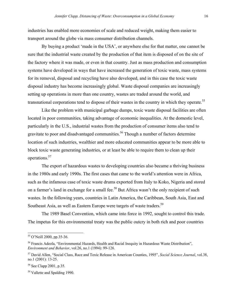industries has enabled more economies of scale and reduced weight, making them easier to transport around the globe via mass consumer distribution channels.

By buying a product 'made in the USA', or anywhere else for that matter, one cannot be sure that the industrial waste created by the production of that item is disposed of on the site of the factory where it was made, or even in that country. Just as mass production and consumption systems have developed in ways that have increased the generation of toxic waste, mass systems for its removal, disposal and recycling have also developed, and in this case the toxic waste disposal industry has become increasingly global. Waste disposal companies are increasingly setting up operations in more than one country, wastes are traded around the world, and transnational corporations tend to dispose of their wastes in the country in which they operate.<sup>55</sup>

Like the problem with municipal garbage dumps, toxic waste disposal facilities are often located in poor communities, taking advantage of economic inequalities. At the domestic level, particularly in the U.S., industrial wastes from the production of consumer items also tend to gravitate to poor and disadvantaged communities.<sup>56</sup> Though a number of factors determine location of such industries, wealthier and more educated communities appear to be more able to block toxic waste generating industries, or at least be able to require them to clean up their operations[.57](#page-16-2)

The export of hazardous wastes to developing countries also became a thriving business in the 1980s and early 1990s. The first cases that came to the world's attention were in Africa, such as the infamous case of toxic waste drums exported from Italy to Koko, Nigeria and stored on a farmer's land in exchange for a small fee.<sup>58</sup> But Africa wasn't the only recipient of such wastes. In the following years, countries in Latin America, the Caribbean, South Asia, East and Southeast Asia, as well as Eastern Europe were targets of waste traders.<sup>59</sup>

The 1989 Basel Convention, which came into force in 1992, sought to control this trade. The impetus for this environmental treaty was the public outcry in both rich and poor countries

<span id="page-16-0"></span><sup>55</sup> O'Neill 2000, pp.35-36.

<span id="page-16-1"></span><sup>56</sup> Francis Adeola, "Environmental Hazards, Health and Racial Inequity in Hazardous Waste Distribution", *Environment and Behavior*, vol.26, no.1 (1994): 99-126.

<span id="page-16-2"></span><sup>57</sup> David Allen, "Social Class, Race and Toxic Release in American Counties, 1995", *Social Science Journal*, vol.38, no.1 (2001): 13-25.

<span id="page-16-3"></span><sup>&</sup>lt;sup>58</sup> See Clapp 2001, p.35.

<span id="page-16-4"></span><sup>59</sup> Vallette and Spalding 1990.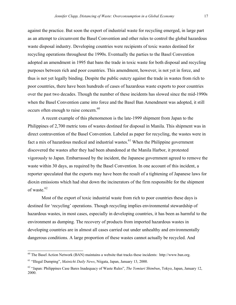against the practice. But soon the export of industrial waste for recycling emerged, in large part as an attempt to circumvent the Basel Convention and other rules to control the global hazardous waste disposal industry. Developing countries were recipients of toxic wastes destined for recycling operations throughout the 1990s. Eventually the parties to the Basel Convention adopted an amendment in 1995 that bans the trade in toxic waste for both disposal and recycling purposes between rich and poor countries. This amendment, however, is not yet in force, and thus is not yet legally binding. Despite the public outcry against the trade in wastes from rich to poor countries, there have been hundreds of cases of hazardous waste exports to poor countries over the past two decades. Though the number of these incidents has slowed since the mid-1990s when the Basel Convention came into force and the Basel Ban Amendment was adopted, it still occurs often enough to raise concern.<sup>[60](#page-17-0)</sup>

A recent example of this phenomenon is the late-1999 shipment from Japan to the Philippines of 2,700 metric tons of wastes destined for disposal in Manila. This shipment was in direct contravention of the Basel Convention. Labeled as paper for recycling, the wastes were in fact a mix of hazardous medical and industrial wastes.<sup>61</sup> When the Philippine government discovered the wastes after they had been abandoned at the Manila Harbor, it protested vigorously to Japan. Embarrassed by the incident, the Japanese government agreed to remove the waste within 30 days, as required by the Basel Convention. In one account of this incident, a reporter speculated that the exports may have been the result of a tightening of Japanese laws for dioxin emissions which had shut down the incinerators of the firm responsible for the shipment of waste.<sup>[62](#page-17-2)</sup>

Most of the export of toxic industrial waste from rich to poor countries these days is destined for 'recycling' operations. Though recycling implies environmental stewardship of hazardous wastes, in most cases, especially in developing countries, it has been as harmful to the environment as dumping. The recovery of products from imported hazardous wastes in developing countries are in almost all cases carried out under unhealthy and environmentally dangerous conditions. A large proportion of these wastes cannot actually be recycled. And

<span id="page-17-0"></span> $60$  The Basel Action Network (BAN) maintains a website that tracks these incidents: http://www.ban.org.

<span id="page-17-1"></span><sup>61 &</sup>quot;Illegal Dumping", *Mainichi Daily News*, Niigata, Japan, January 13, 2000.

<span id="page-17-2"></span><sup>62 &</sup>quot;Japan: Philippines Case Bares Inadequacy of Waste Rules", *The Yomiuri Shimbun*, Tokyo, Japan, January 12, 2000.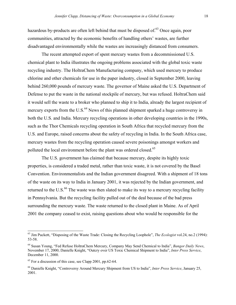hazardous by-products are often left behind that must be disposed of.<sup>63</sup> Once again, poor communities, attracted by the economic benefits of handling others' wastes, are further disadvantaged environmentally while the wastes are increasingly distanced from consumers.

The recent attempted export of spent mercury wastes from a decommissioned U.S. chemical plant to India illustrates the ongoing problems associated with the global toxic waste recycling industry. The HoltraChem Manufacturing company, which used mercury to produce chlorine and other chemicals for use in the paper industry, closed in September 2000, leaving behind 260,000 pounds of mercury waste. The governor of Maine asked the U.S. Department of Defense to put the waste in the national stockpile of mercury, but was refused. HoltraChem said it would sell the waste to a broker who planned to ship it to India, already the largest recipient of mercury exports from the U.S.<sup>64</sup> News of this planned shipment sparked a huge controversy in both the U.S. and India. Mercury recycling operations in other developing countries in the 1990s, such as the Thor Chemicals recycling operation in South Africa that recycled mercury from the U.S. and Europe, raised concerns about the safety of recycling in India. In the South Africa case, mercury wastes from the recycling operation caused severe poisonings amongst workers and polluted the local environment before the plant was ordered closed.<sup>65</sup>

The U.S. government has claimed that because mercury, despite its highly toxic properties, is considered a traded metal, rather than toxic waste, it is not covered by the Basel Convention. Environmentalists and the Indian government disagreed. With a shipment of 18 tons of the waste on its way to India in January 2001, it was rejected by the Indian government, and returned to the U.S.<sup>66</sup> The waste was then slated to make its way to a mercury recycling facility in Pennsylvania. But the recycling facility pulled out of the deal because of the bad press surrounding the mercury waste. The waste returned to the closed plant in Maine. As of April 2001 the company ceased to exist, raising questions about who would be responsible for the

<span id="page-18-0"></span><sup>63</sup> Jim Puckett, "Disposing of the Waste Trade: Closing the Recycling Loophole", *The Ecologist* vol.24, no.2 (1994): 53-58.

<span id="page-18-1"></span><sup>64</sup> Susan Young, "Fed Refuse HoltraChem Mercury, Company May Send Chemical to India", *Bangor Daily News*, November 17, 2000; Danielle Knight, "Outcry over US Toxic Chemical Shipment to India", *Inter Press Service*, December 11, 2000.

<span id="page-18-2"></span> $<sup>65</sup>$  For a discussion of this case, see Clapp 2001, pp.62-64.</sup>

<span id="page-18-3"></span><sup>66</sup> Danielle Knight, "Controversy Around Mercury Shipment from US to India", *Inter Press Service*, January 25, 2001.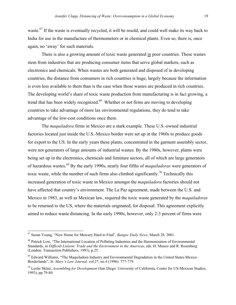waste.<sup>67</sup> If the waste is eventually recycled, it will be resold, and could well make its way back to India for use in the manufacture of thermometers or in chemical plants. Even so, there is, once again, no 'away' for such materials.

There is also a growing amount of toxic waste generated in poor countries. These wastes stem from industries that are producing consumer items that serve global markets, such as electronics and chemicals. When wastes are both generated and disposed of in developing countries, the distance from consumers in rich countries is huge, largely because the information is even less available to them than is the case when those wastes are produced in rich countries. The developing world's share of toxic waste production from manufacturing is in fact growing, a trend that has been widely recognized.<sup>68</sup> Whether or not firms are moving to developing countries to take advantage of more lax environmental regulations, they do tend to take advantage of the low-cost conditions once there.

The *maquiladora* firms in Mexico are a stark example. These U.S.-owned industrial factories located just inside the U.S.-Mexico border were set up in the 1960s to produce goods for export to the US. In the early years these plants, concentrated in the garment assembly sector, were not generators of large amounts of industrial wastes. By the 1980s, however, plants were being set up in the electronics, chemicals and furniture sectors, all of which are large generators of hazardous wastes.[69](#page-19-2) By the early 1990s, nearly four fifths of *maquiladoras* were generators of toxic waste, while the number of such firms also climbed significantly.<sup>70</sup> Technically this increased generation of toxic waste in Mexico amongst the *maquiladora* factories should not have affected that country's environment. The La Paz agreement, made between the U.S. and Mexico in 1983, as well as Mexican law, required the toxic waste generated by the *maquiladoras* to be returned to the US, where the materials originated, for disposal. This agreement explicitly aimed to reduce waste distancing. In the early 1990s, however, only 2-3 percent of firms were

<span id="page-19-0"></span><sup>67</sup> Susan Young, "New Home for Mercury Hard to Find", *Bangor Daily News*, March 28, 2001.

<span id="page-19-1"></span><sup>68</sup> Patrick Low, "The International Location of Polluting Industries and the Harmonization of Environmental Standards, in *Difficult Liaison: Trade and the Environment in the Americas*, eds. H. Munoz and R. Rosenberg (London: Transaction Publishers, 1993), p.25.

<span id="page-19-2"></span><sup>69</sup> Edward Williams, "The Maquiladora Industry and Environmental Degradation in the United States-Mexico Borderlands", *St. Mary's Law Journal,* vol.27, no.4 (1996): 777-779.

<span id="page-19-3"></span><sup>70</sup> Leslie Sklair, *Assembling for Development* (San Diego: University of California, Center for US-Mexican Studies, 1993), pp.79-80.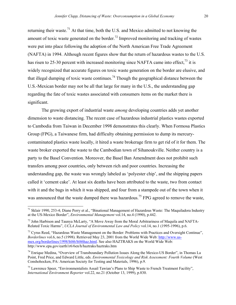returning their waste.<sup>71</sup> At that time, both the U.S. and Mexico admitted to not knowing the amount of toxic waste generated on the border.<sup>72</sup> Improved monitoring and tracking of wastes were put into place following the adoption of the North American Free Trade Agreement (NAFTA) in 1994. Although recent figures show that the return of hazardous wastes to the U.S. has risen to 25-30 percent with increased monitoring since NAFTA came into effect,  $^{73}$  it is widely recognized that accurate figures on toxic waste generation on the border are elusive, and that illegal dumping of toxic waste continues.<sup>74</sup> Though the geographical distance between the U.S.-Mexican border may not be all that large for many in the U.S., the understanding gap regarding the fate of toxic wastes associated with consumers items on the market there is significant.

The growing export of industrial waste *among* developing countries adds yet another dimension to waste distancing. The recent case of hazardous industrial plastics wastes exported to Cambodia from Taiwan in December 1998 demonstrates this clearly. When Formosa Plastics Group (FPG), a Taiwanese firm, had difficulty obtaining permission to dump its mercurycontaminated plastics waste locally, it hired a waste brokerage firm to get rid of it for them. The waste broker exported the waste to the Cambodian town of Sihanoukville. Neither country is a party to the Basel Convention. Moreover, the Basel Ban Amendment does not prohibit such transfers among poor countries, only between rich and poor countries. Increasing the understanding gap, the waste was wrongly labeled as 'polyester chip', and the shipping papers called it 'cement cake'. At least six deaths have been attributed to the waste, two from contact with it and the bags in which it was shipped, and four from a stampede out of the town when it was announced that the waste dumped there was hazardous.<sup>75</sup> FPG agreed to remove the waste,

<span id="page-20-0"></span><sup>71</sup> Sklair 1990, 253-4; Diane Perry et al., "Binational Management of Hazardous Waste: The Maquiladora Industry at the US-Mexico Border", *Environmental Management* vol.14, no.4 (1990), p.442.

<span id="page-20-1"></span> $^{72}$  John Harbison and Taunya McLarty, "A Move Away from the Moral Arbitrariness of Maquila and NAFTA-Related Toxic Harms", *UCLA Journal of Environmental Law and Policy* vol.14, no.1 (1995-1996), p.6.

<span id="page-20-2"></span> $^{73}$  Cyrus Reed, "Hazardous Waste Management on the Border: Problems with Practices and Oversight Continue", *Borderlines* vol.6, no.5 (1998). Retrieved May 23, 2001 from the World Wide Web: http://www.usmex.org/borderlines/1998/bl46/bl46haz.html. See also HAZTRAKS on the World Wide Web: http://www.epa.gov/earth1r6/6en/h/haztraks/haztraks.htm

<span id="page-20-3"></span> $74$  Enrique Medina, "Overview of Transboundary Pollution Issues Along the Mexico-US Border", in Thomas La Point, Fred Price, and Edward Little, eds. *Environmental Toxicology and Risk Assessment: Fourth Volume* (West Conshohocken, PA: American Society for Testing and Materials, 1996), p.9.

<span id="page-20-4"></span> $75$  Lawrence Speer, "Environmentalists Assail Tawian's Plans to Ship Waste to French Treatment Facility", *International Environment Reporter* vol.22, no.21 (October 13, 1999), p.830.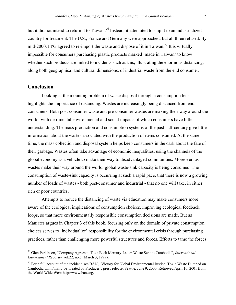but it did not intend to return it to Taiwan.<sup>76</sup> Instead, it attempted to ship it to an industrialized country for treatment. The U.S., France and Germany were approached, but all three refused. By mid-2000, FPG agreed to re-import the waste and dispose of it in Taiwan.<sup>77</sup> It is virtually impossible for consumers purchasing plastic products marked 'made in Taiwan' to know whether such products are linked to incidents such as this, illustrating the enormous distancing, along both geographical and cultural dimensions, of industrial waste from the end consumer.

### **Conclusion**

 $\overline{\phantom{a}}$ 

Looking at the mounting problem of waste disposal through a consumption lens highlights the importance of distancing. Wastes are increasingly being distanced from end consumers. Both post-consumer waste and pre-consumer wastes are making their way around the world, with detrimental environmental and social impacts of which consumers have little understanding. The mass production and consumption systems of the past half-century give little information about the wastes associated with the production of items consumed. At the same time, the mass collection and disposal system helps keep consumers in the dark about the fate of their garbage. Wastes often take advantage of economic inequalities, using the channels of the global economy as a vehicle to make their way to disadvantaged communities. Moreover, as wastes make their way around the world, global waste-sink capacity is being consumed. The consumption of waste-sink capacity is occurring at such a rapid pace, that there is now a growing number of loads of wastes - both post-consumer and industrial - that no one will take, in either rich or poor countries.

Attempts to reduce the distancing of waste via education may make consumers more aware of the ecological implications of consumption choices, improving ecological feedback loops**,** so that more environmentally responsible consumption decisions are made. But as Maniates argues in Chapter 3 of this book, focusing only on the domain of private consumption choices serves to 'individualize' responsibility for the environmental crisis through purchasing practices, rather than challenging more powerful structures and forces. Efforts to tame the forces

<span id="page-21-0"></span><sup>76</sup> Glen Perkinson, "Company Agrees to Take Back Mercury-Laden Waste Sent to Cambodia", *International Environment Reporter* vol.22, no.5 (March 3, 1999).

<span id="page-21-1"></span> $77$  For a full account of the incident, see BAN, "Victory for Global Environmental Justice: Toxic Waste Dumped on Cambodia will Finally be Treated by Producer", press release, Seattle, June 9, 2000. Retrieved April 10, 2001 from the World Wide Web: http://www.ban.org.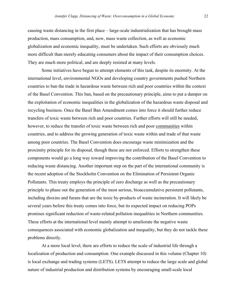causing waste distancing in the first place – large-scale industrialization that has brought mass production, mass consumption, and, now, mass waste collection, as well as economic globalization and economic inequality, must be undertaken. Such efforts are obviously much more difficult than merely educating consumers about the impact of their consumption choices. They are much more political, and are deeply resisted at many levels.

Some initiatives have begun to attempt elements of this task, despite its enormity. At the international level, environmental NGOs and developing country governments pushed Northern countries to ban the trade in hazardous waste between rich and poor countries within the context of the Basel Convention. This ban, based on the precautionary principle, aims to put a damper on the exploitation of economic inequalities in the globalization of the hazardous waste disposal and recycling business. Once the Basel Ban Amendment comes into force it should further reduce transfers of toxic waste between rich and poor countries. Further efforts will still be needed, however, to reduce the transfer of toxic waste between rich and poor communities within countries, and to address the growing generation of toxic waste within and trade of that waste among poor countries. The Basel Convention does encourage waste minimization and the proximity principle for its disposal, though these are not enforced. Efforts to strengthen these components would go a long way toward improving the contribution of the Basel Convention to reducing waste distancing. Another important step on the part of the international community is the recent adoption of the Stockholm Convention on the Elimination of Persistent Organic Pollutants. This treaty employs the principle of zero discharge as well as the precautionary principle to phase out the generation of the most serious, bioaccumulative persistent pollutants, including dioxins and furans that are the toxic by-products of waste incineration. It will likely be several years before this treaty comes into force, but its expected impact on reducing POPs promises significant reduction of waste-related pollution inequalities in Northern communities. These efforts at the international level mainly attempt to ameliorate the negative waste consequences associated with economic globalization and inequality, but they do not tackle these problems directly.

At a more local level, there are efforts to reduce the scale of industrial life through a localization of production and consumption. One example discussed in this volume (Chapter 10) is local exchange and trading systems (LETS). LETS attempt to reduce the large scale and global nature of industrial production and distribution systems by encouraging small-scale local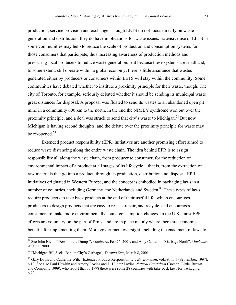production, service provision and exchange. Though LETS do not focus directly on waste generation and distribution, they do have implications for waste issues. Extensive use of LETS in some communities may help to reduce the scale of production and consumption systems for those consumers that participate, thus increasing awareness of production methods and pressuring local producers to reduce waste generation. But because these systems are small and, to some extent, still operate within a global economy, there is little assurance that wastes generated either by producers or consumers within LETS will stay within the community. Some communities have debated whether to institute a proximity principle for their waste, though. The city of Toronto, for example, seriously debated whether it should be sending its municipal waste great distances for disposal. A proposal was floated to send its wastes to an abandoned open pit mine in a community 600 km to the north. In the end the NIMBY syndrome won out over the proximity principle, and a deal was struck to send that city's waste to Michigan.<sup>78</sup> But now Michigan is having second thoughts, and the debate over the proximity principle for waste may be re-opened.<sup>[79](#page-23-1)</sup>

Extended product responsibility (EPR) initiatives are another promising effort aimed to reduce waste distancing along the entire waste chain. The idea behind EPR is to assign responsibility all along the waste chain, from producer to consumer, for the reduction of environmental impact of a product at all stages of its life cycle – that is, from the extraction of raw materials that go into a product, through its production, distribution and disposal. EPR initiatives originated in Western Europe, and the concept is embodied in packaging laws in a number of countries, including Germany, the Netherlands and Sweden.<sup>80</sup> These types of laws require producers to take back products at the end of their useful life, which encourages producers to design products that are easy to re-use, repair, and recycle, and encourages consumers to make more environmentally sound consumption choices. In the U.S., most EPR efforts are voluntary on the part of firms, and are in place mainly where there are economic benefits for implementing them. More government oversight, including the enactment of laws to

 $\overline{a}$ 

<span id="page-23-0"></span><sup>78</sup> See John Nicol, "Down in the Dumps", *Macleans*, Feb.26, 2001; and Amy Cameron, "Garbage North", *Macleans*, Aug.21, 2000.

<span id="page-23-1"></span><sup>79 &</sup>quot;Michigan Bill Seeks Ban on City's Garbage", *Toronto Star*, March 8, 2001.

<span id="page-23-2"></span><sup>80</sup> Gary Davis and Catherine Wilt, "Extended Product Responsibility", *Environment*, vol.39, no.7 (September, 1997), p.10. See also Paul Hawkin and Amory Lovins and L. Hunter Lovins, *Natural Capitalism* (Boston: Little, Brown and Company, 1999), who report that by 1998 there were some 28 countries with take-back laws for packaging, p.79.